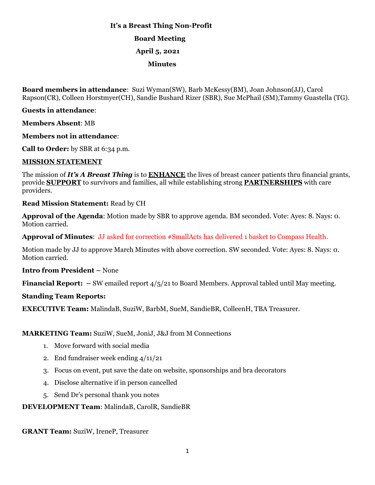# **It's a Breast Thing Non-Profit Board Meeting April 5, 2021 Minutes**

**Board members in attendance**: Suzi Wyman(SW), Barb McKessy(BM), Joan Johnson(JJ), Carol Rapson(CR), Colleen Horstmyer(CH), Sandie Bushard Rizer (SBR), Sue McPhail (SM),Tammy Guastella (TG).

## **Guests in attendance**:

**Members Absent**: MB

**Members not in attendance**:

**Call to Order:** by SBR at 6:34 p.m.

### **MISSION STATEMENT**

The mission of *It's A Breast Thing* is to **ENHANCE** the lives of breast cancer patients thru financial grants, provide **SUPPORT** to survivors and families, all while establishing strong **PARTNERSHIPS** with care providers.

**Read Mission Statement:** Read by CH

**Approval of the Agenda**: Motion made by SBR to approve agenda. BM seconded. Vote: Ayes: 8. Nays: 0. Motion carried.

**Approval of Minutes**: JJ asked for correction #SmallActs has delivered 1 basket to Compass Health.

Motion made by JJ to approve March Minutes with above correction. SW seconded. Vote: Ayes: 8. Nays: 0. Motion carried.

**Intro from President –** None

**Financial Report: –** SW emailed report 4/5/21 to Board Members. Approval tabled until May meeting.

## **Standing Team Reports:**

**EXECUTIVE Team:** MalindaB, SuziW, BarbM, SueM, SandieBR, ColleenH, TBA Treasurer.

## **MARKETING Team:** SuziW, SueM, JoniJ, J&J from M Connections

- 1. Move forward with social media
- 2. End fundraiser week ending 4/11/21
- 3. Focus on event, put save the date on website, sponsorships and bra decorators
- 4. Disclose alternative if in person cancelled
- 5. Send Dr's personal thank you notes

#### **DEVELOPMENT Team**: MalindaB, CarolR, SandieBR

**GRANT Team:** SuziW, IreneP, Treasurer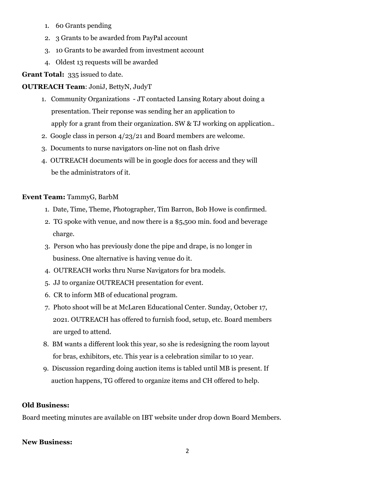- 1. 60 Grants pending
- 2. 3 Grants to be awarded from PayPal account
- 3. 10 Grants to be awarded from investment account
- 4. Oldest 13 requests will be awarded

## **Grant Total:** 335 issued to date.

## **OUTREACH Team**: JoniJ, BettyN, JudyT

- 1. Community Organizations JT contacted Lansing Rotary about doing a presentation. Their reponse was sending her an application to apply for a grant from their organization. SW & TJ working on application..
- 2. Google class in person 4/23/21 and Board members are welcome.
- 3. Documents to nurse navigators on-line not on flash drive
- 4. OUTREACH documents will be in google docs for access and they will be the administrators of it.

## **Event Team:** TammyG, BarbM

- 1. Date, Time, Theme, Photographer, Tim Barron, Bob Howe is confirmed.
- 2. TG spoke with venue, and now there is a \$5,500 min. food and beverage charge.
- 3. Person who has previously done the pipe and drape, is no longer in business. One alternative is having venue do it.
- 4. OUTREACH works thru Nurse Navigators for bra models.
- 5. JJ to organize OUTREACH presentation for event.
- 6. CR to inform MB of educational program.
- 7. Photo shoot will be at McLaren Educational Center. Sunday, October 17, 2021. OUTREACH has offered to furnish food, setup, etc. Board members are urged to attend.
- 8. BM wants a different look this year, so she is redesigning the room layout for bras, exhibitors, etc. This year is a celebration similar to 10 year.
- 9. Discussion regarding doing auction items is tabled until MB is present. If auction happens, TG offered to organize items and CH offered to help.

## **Old Business:**

Board meeting minutes are available on IBT website under drop down Board Members.

## **New Business:**